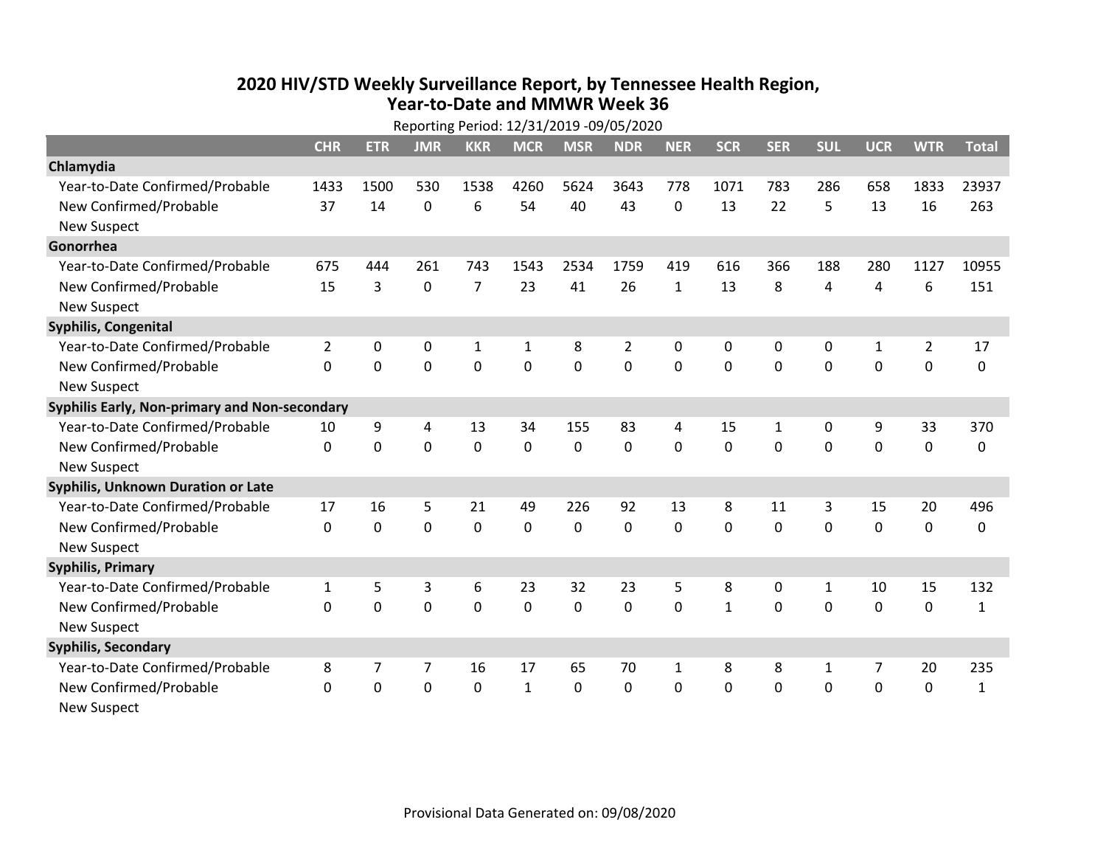## **2020 HIV /STD Weekly Surveillance Report, by Tennessee Health Region, Year‐to‐Date and MMWR Week 36** Reporting Period: 12/31/2019 ‐09/05/2020

|                                               | Reporting Period: 12/31/2019 -09/05/2020 |             |                |                |              |                |            |              |              |              |              |                |                |              |
|-----------------------------------------------|------------------------------------------|-------------|----------------|----------------|--------------|----------------|------------|--------------|--------------|--------------|--------------|----------------|----------------|--------------|
|                                               | <b>CHR</b>                               | <b>ETR</b>  | <b>JMR</b>     | <b>KKR</b>     | <b>MCR</b>   | <b>MSR</b>     | <b>NDR</b> | <b>NER</b>   | <b>SCR</b>   | <b>SER</b>   | <b>SUL</b>   | <b>UCR</b>     | <b>WTR</b>     | <b>Total</b> |
| Chlamydia                                     |                                          |             |                |                |              |                |            |              |              |              |              |                |                |              |
| Year-to-Date Confirmed/Probable               | 1433                                     | 1500        | 530            | 1538           | 4260         | 5624           | 3643       | 778          | 1071         | 783          | 286          | 658            | 1833           | 23937        |
| New Confirmed/Probable                        | 37                                       | 14          | 0              | 6              | 54           | 40             | 43         | 0            | 13           | 22           | 5            | 13             | 16             | 263          |
| <b>New Suspect</b>                            |                                          |             |                |                |              |                |            |              |              |              |              |                |                |              |
| Gonorrhea                                     |                                          |             |                |                |              |                |            |              |              |              |              |                |                |              |
| Year-to-Date Confirmed/Probable               | 675                                      | 444         | 261            | 743            | 1543         | 2534           | 1759       | 419          | 616          | 366          | 188          | 280            | 1127           | 10955        |
| New Confirmed/Probable                        | 15                                       | 3           | $\mathbf 0$    | $\overline{7}$ | 23           | 41             | 26         | $\mathbf{1}$ | 13           | 8            | 4            | 4              | 6              | 151          |
| <b>New Suspect</b>                            |                                          |             |                |                |              |                |            |              |              |              |              |                |                |              |
| <b>Syphilis, Congenital</b>                   |                                          |             |                |                |              |                |            |              |              |              |              |                |                |              |
| Year-to-Date Confirmed/Probable               | $\overline{2}$                           | 0           | $\mathbf 0$    | $\mathbf{1}$   | 1            | 8              | 2          | 0            | 0            | 0            | 0            | $\mathbf{1}$   | $\overline{2}$ | 17           |
| New Confirmed/Probable                        | $\Omega$                                 | $\mathbf 0$ | $\mathbf 0$    | 0              | $\mathbf 0$  | $\overline{0}$ | 0          | $\Omega$     | $\Omega$     | 0            | 0            | 0              | $\mathbf 0$    | 0            |
| <b>New Suspect</b>                            |                                          |             |                |                |              |                |            |              |              |              |              |                |                |              |
| Syphilis Early, Non-primary and Non-secondary |                                          |             |                |                |              |                |            |              |              |              |              |                |                |              |
| Year-to-Date Confirmed/Probable               | 10                                       | 9           | 4              | 13             | 34           | 155            | 83         | 4            | 15           | $\mathbf{1}$ | 0            | 9              | 33             | 370          |
| New Confirmed/Probable                        | 0                                        | 0           | 0              | $\overline{0}$ | $\mathbf 0$  | $\mathbf 0$    | 0          | $\Omega$     | $\Omega$     | $\Omega$     | $\mathbf 0$  | $\mathbf 0$    | $\mathbf 0$    | 0            |
| <b>New Suspect</b>                            |                                          |             |                |                |              |                |            |              |              |              |              |                |                |              |
| <b>Syphilis, Unknown Duration or Late</b>     |                                          |             |                |                |              |                |            |              |              |              |              |                |                |              |
| Year-to-Date Confirmed/Probable               | 17                                       | 16          | 5              | 21             | 49           | 226            | 92         | 13           | 8            | 11           | 3            | 15             | 20             | 496          |
| New Confirmed/Probable                        | $\mathbf 0$                              | $\mathbf 0$ | $\overline{0}$ | 0              | $\mathbf 0$  | $\overline{0}$ | $\Omega$   | $\Omega$     | $\Omega$     | $\Omega$     | $\Omega$     | $\mathbf 0$    | $\mathbf 0$    | 0            |
| <b>New Suspect</b>                            |                                          |             |                |                |              |                |            |              |              |              |              |                |                |              |
| <b>Syphilis, Primary</b>                      |                                          |             |                |                |              |                |            |              |              |              |              |                |                |              |
| Year-to-Date Confirmed/Probable               | $\mathbf{1}$                             | 5           | 3              | 6              | 23           | 32             | 23         | 5            | 8            | 0            | $\mathbf{1}$ | 10             | 15             | 132          |
| New Confirmed/Probable                        | $\Omega$                                 | 0           | $\overline{0}$ | $\overline{0}$ | $\mathbf 0$  | $\mathbf 0$    | 0          | $\Omega$     | $\mathbf{1}$ | $\Omega$     | 0            | $\mathbf 0$    | $\mathbf 0$    | $\mathbf{1}$ |
| <b>New Suspect</b>                            |                                          |             |                |                |              |                |            |              |              |              |              |                |                |              |
| <b>Syphilis, Secondary</b>                    |                                          |             |                |                |              |                |            |              |              |              |              |                |                |              |
| Year-to-Date Confirmed/Probable               | 8                                        | 7           | 7              | 16             | 17           | 65             | 70         | $\mathbf{1}$ | 8            | 8            | 1            | $\overline{7}$ | 20             | 235          |
| New Confirmed/Probable                        | 0                                        | 0           | 0              | 0              | $\mathbf{1}$ | 0              | 0          | $\mathbf 0$  | $\Omega$     | 0            | 0            | 0              | $\mathbf 0$    | $\mathbf{1}$ |
| <b>New Suspect</b>                            |                                          |             |                |                |              |                |            |              |              |              |              |                |                |              |